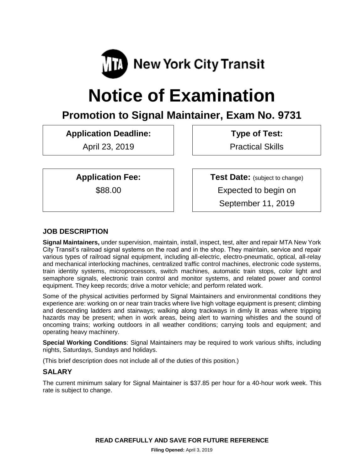

# **Notice of Examination**

# **Promotion to Signal Maintainer, Exam No. 9731**

**Application Deadline:**

April 23, 2019

**Type of Test:**  Practical Skills

**Application Fee:**

\$88.00

**Test Date:** (subject to change) Expected to begin on September 11, 2019

# **JOB DESCRIPTION**

**Signal Maintainers,** under supervision, maintain, install, inspect, test, alter and repair MTA New York City Transit's railroad signal systems on the road and in the shop. They maintain, service and repair various types of railroad signal equipment, including all-electric, electro-pneumatic, optical, all-relay and mechanical interlocking machines, centralized traffic control machines, electronic code systems, train identity systems, microprocessors, switch machines, automatic train stops, color light and semaphore signals, electronic train control and monitor systems, and related power and control equipment. They keep records; drive a motor vehicle; and perform related work.

Some of the physical activities performed by Signal Maintainers and environmental conditions they experience are: working on or near train tracks where live high voltage equipment is present; climbing and descending ladders and stairways; walking along trackways in dimly lit areas where tripping hazards may be present; when in work areas, being alert to warning whistles and the sound of oncoming trains; working outdoors in all weather conditions; carrying tools and equipment; and operating heavy machinery.

**Special Working Conditions**: Signal Maintainers may be required to work various shifts, including nights, Saturdays, Sundays and holidays.

(This brief description does not include all of the duties of this position.)

# **SALARY**

The current minimum salary for Signal Maintainer is \$37.85 per hour for a 40-hour work week. This rate is subject to change.

**READ CAREFULLY AND SAVE FOR FUTURE REFERENCE**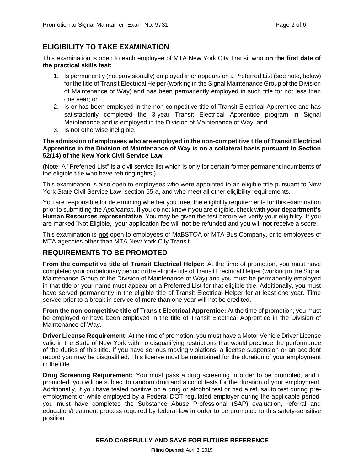# **ELIGIBILITY TO TAKE EXAMINATION**

This examination is open to each employee of MTA New York City Transit who **on the first date of the practical skills test:**

- 1. Is permanently (not provisionally) employed in or appears on a Preferred List (see note, below) for the title of Transit Electrical Helper (working in the Signal Maintenance Group of the Division of Maintenance of Way) and has been permanently employed in such title for not less than one year; or
- 2. Is or has been employed in the non-competitive title of Transit Electrical Apprentice and has satisfactorily completed the 3-year Transit Electrical Apprentice program in Signal Maintenance and is employed in the Division of Maintenance of Way; and
- 3. Is not otherwise ineligible.

#### **The admission of employees who are employed in the non-competitive title of Transit Electrical Apprentice in the Division of Maintenance of Way is on a collateral basis pursuant to Section 52(14) of the New York Civil Service Law**

(Note: A "Preferred List" is a civil service list which is only for certain former permanent incumbents of the eligible title who have rehiring rights.)

This examination is also open to employees who were appointed to an eligible title pursuant to New York State Civil Service Law, section 55-a, and who meet all other eligibility requirements.

You are responsible for determining whether you meet the eligibility requirements for this examination prior to submitting the *Application*. If you do not know if you are eligible, check with **your department's Human Resources representative**. You may be given the test before we verify your eligibility. If you are marked "Not Eligible," your application fee will **not** be refunded and you will **not** receive a score.

This examination is **not** open to employees of MaBSTOA or MTA Bus Company, or to employees of MTA agencies other than MTA New York City Transit.

# **REQUIREMENTS TO BE PROMOTED**

**From the competitive title of Transit Electrical Helper:** At the time of promotion, you must have completed your probationary period in the eligible title of Transit Electrical Helper (working in the Signal Maintenance Group of the Division of Maintenance of Way) and you must be permanently employed in that title or your name must appear on a Preferred List for that eligible title. Additionally, you must have served permanently in the eligible title of Transit Electrical Helper for at least one year. Time served prior to a break in service of more than one year will not be credited.

**From the non-competitive title of Transit Electrical Apprentice:** At the time of promotion, you must be employed or have been employed in the title of Transit Electrical Apprentice in the Division of Maintenance of Way.

**Driver License Requirement:** At the time of promotion, you must have a Motor Vehicle Driver License valid in the State of New York with no disqualifying restrictions that would preclude the performance of the duties of this title. If you have serious moving violations, a license suspension or an accident record you may be disqualified. This license must be maintained for the duration of your employment in the title.

**Drug Screening Requirement:** You must pass a drug screening in order to be promoted, and if promoted, you will be subject to random drug and alcohol tests for the duration of your employment. Additionally, if you have tested positive on a drug or alcohol test or had a refusal to test during preemployment or while employed by a Federal DOT-regulated employer during the applicable period, you must have completed the Substance Abuse Professional (SAP) evaluation, referral and education/treatment process required by federal law in order to be promoted to this safety-sensitive position.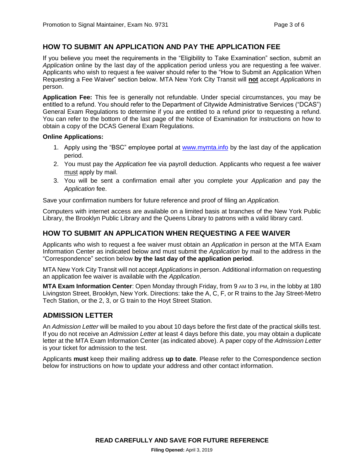## **HOW TO SUBMIT AN APPLICATION AND PAY THE APPLICATION FEE**

If you believe you meet the requirements in the "Eligibility to Take Examination" section, submit an *Application* online by the last day of the application period unless you are requesting a fee waiver. Applicants who wish to request a fee waiver should refer to the "How to Submit an Application When Requesting a Fee Waiver" section below. MTA New York City Transit will **not** accept *Applications* in person.

**Application Fee:** This fee is generally not refundable. Under special circumstances, you may be entitled to a refund. You should refer to the Department of Citywide Administrative Services ("DCAS") General Exam Regulations to determine if you are entitled to a refund prior to requesting a refund. You can refer to the bottom of the last page of the Notice of Examination for instructions on how to obtain a copy of the DCAS General Exam Regulations.

#### **Online Applications:**

- 1. Apply using the "BSC" employee portal at [www.mymta.info](http://www.mymta.info/) by the last day of the application period.
- 2. You must pay the *Application* fee via payroll deduction. Applicants who request a fee waiver must apply by mail.
- 3. You will be sent a confirmation email after you complete your *Application* and pay the *Application* fee.

Save your confirmation numbers for future reference and proof of filing an *Application.*

Computers with internet access are available on a limited basis at branches of the New York Public Library, the Brooklyn Public Library and the Queens Library to patrons with a valid library card.

#### **HOW TO SUBMIT AN APPLICATION WHEN REQUESTING A FEE WAIVER**

Applicants who wish to request a fee waiver must obtain an *Application* in person at the MTA Exam Information Center as indicated below and must submit the *Application* by mail to the address in the "Correspondence" section below **by the last day of the application period**.

MTA New York City Transit will not accept *Applications* in person. Additional information on requesting an application fee waiver is available with the *Application*.

**MTA Exam Information Center**: Open Monday through Friday, from 9 AM to 3 PM, in the lobby at 180 Livingston Street, Brooklyn, New York. Directions: take the A, C, F, or R trains to the Jay Street-Metro Tech Station, or the 2, 3, or G train to the Hoyt Street Station.

#### **ADMISSION LETTER**

An *Admission Letter* will be mailed to you about 10 days before the first date of the practical skills test. If you do not receive an *Admission Letter* at least 4 days before this date, you may obtain a duplicate letter at the MTA Exam Information Center (as indicated above). A paper copy of the *Admission Letter* is your ticket for admission to the test.

Applicants **must** keep their mailing address **up to date**. Please refer to the Correspondence section below for instructions on how to update your address and other contact information.

**READ CAREFULLY AND SAVE FOR FUTURE REFERENCE**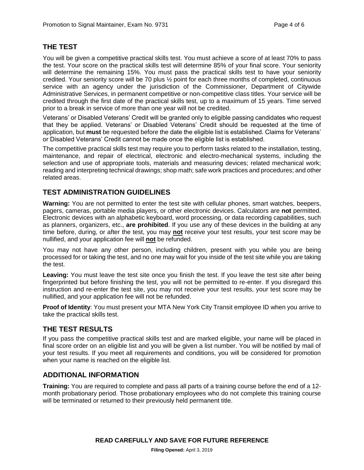## **THE TEST**

You will be given a competitive practical skills test. You must achieve a score of at least 70% to pass the test. Your score on the practical skills test will determine 85% of your final score. Your seniority will determine the remaining 15%. You must pass the practical skills test to have your seniority credited. Your seniority score will be 70 plus ½ point for each three months of completed, continuous service with an agency under the jurisdiction of the Commissioner, Department of Citywide Administrative Services, in permanent competitive or non-competitive class titles. Your service will be credited through the first date of the practical skills test, up to a maximum of 15 years. Time served prior to a break in service of more than one year will not be credited.

Veterans' or Disabled Veterans' Credit will be granted only to eligible passing candidates who request that they be applied. Veterans' or Disabled Veterans' Credit should be requested at the time of application, but **must** be requested before the date the eligible list is established. Claims for Veterans' or Disabled Veterans' Credit cannot be made once the eligible list is established.

The competitive practical skills test may require you to perform tasks related to the installation, testing, maintenance, and repair of electrical, electronic and electro-mechanical systems, including the selection and use of appropriate tools, materials and measuring devices; related mechanical work; reading and interpreting technical drawings; shop math; safe work practices and procedures; and other related areas.

# **TEST ADMINISTRATION GUIDELINES**

**Warning:** You are not permitted to enter the test site with cellular phones, smart watches, beepers, pagers, cameras, portable media players, or other electronic devices. Calculators are **not** permitted. Electronic devices with an alphabetic keyboard, word processing, or data recording capabilities, such as planners, organizers, etc., **are prohibited**. If you use any of these devices in the building at any time before, during, or after the test, you may **not** receive your test results, your test score may be nullified, and your application fee will **not** be refunded.

You may not have any other person, including children, present with you while you are being processed for or taking the test, and no one may wait for you inside of the test site while you are taking the test.

**Leaving:** You must leave the test site once you finish the test. If you leave the test site after being fingerprinted but before finishing the test, you will not be permitted to re-enter. If you disregard this instruction and re-enter the test site, you may not receive your test results, your test score may be nullified, and your application fee will not be refunded.

**Proof of Identity**: You must present your MTA New York City Transit employee ID when you arrive to take the practical skills test.

# **THE TEST RESULTS**

If you pass the competitive practical skills test and are marked eligible, your name will be placed in final score order on an eligible list and you will be given a list number. You will be notified by mail of your test results. If you meet all requirements and conditions, you will be considered for promotion when your name is reached on the eligible list.

#### **ADDITIONAL INFORMATION**

**Training:** You are required to complete and pass all parts of a training course before the end of a 12 month probationary period. Those probationary employees who do not complete this training course will be terminated or returned to their previously held permanent title.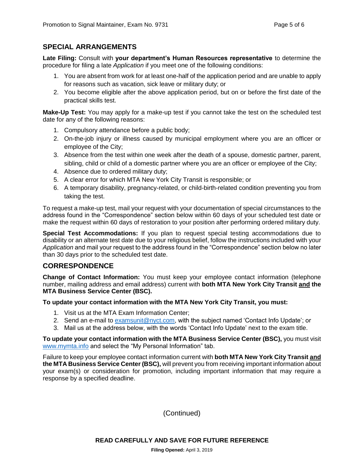#### **SPECIAL ARRANGEMENTS**

**Late Filing:** Consult with **your department's Human Resources representative** to determine the procedure for filing a late *Application* if you meet one of the following conditions:

- 1. You are absent from work for at least one-half of the application period and are unable to apply for reasons such as vacation, sick leave or military duty; or
- 2. You become eligible after the above application period, but on or before the first date of the practical skills test.

**Make-Up Test:** You may apply for a make-up test if you cannot take the test on the scheduled test date for any of the following reasons:

- 1. Compulsory attendance before a public body;
- 2. On-the-job injury or illness caused by municipal employment where you are an officer or employee of the City;
- 3. Absence from the test within one week after the death of a spouse, domestic partner, parent, sibling, child or child of a domestic partner where you are an officer or employee of the City;
- 4. Absence due to ordered military duty;
- 5. A clear error for which MTA New York City Transit is responsible; or
- 6. A temporary disability, pregnancy-related, or child-birth-related condition preventing you from taking the test.

To request a make-up test, mail your request with your documentation of special circumstances to the address found in the "Correspondence" section below within 60 days of your scheduled test date or make the request within 60 days of restoration to your position after performing ordered military duty.

**Special Test Accommodations:** If you plan to request special testing accommodations due to disability or an alternate test date due to your religious belief, follow the instructions included with your *Application* and mail your request to the address found in the "Correspondence" section below no later than 30 days prior to the scheduled test date.

# **CORRESPONDENCE**

**Change of Contact Information:** You must keep your employee contact information (telephone number, mailing address and email address) current with **both MTA New York City Transit and the MTA Business Service Center (BSC).**

**To update your contact information with the MTA New York City Transit, you must:**

- 1. Visit us at the MTA Exam Information Center;
- 2. Send an e-mail to [examsunit@nyct.com,](mailto:examsunit@nyct.com) with the subject named 'Contact Info Update'; or
- 3. Mail us at the address below, with the words 'Contact Info Update' next to the exam title.

**To update your contact information with the MTA Business Service Center (BSC),** you must visit [www.mymta.info](http://www.mymta.info/) and select the "My Personal Information" tab.

Failure to keep your employee contact information current with **both MTA New York City Transit and the MTA Business Service Center (BSC),** will prevent you from receiving important information about your exam(s) or consideration for promotion, including important information that may require a response by a specified deadline.

(Continued)

**READ CAREFULLY AND SAVE FOR FUTURE REFERENCE**